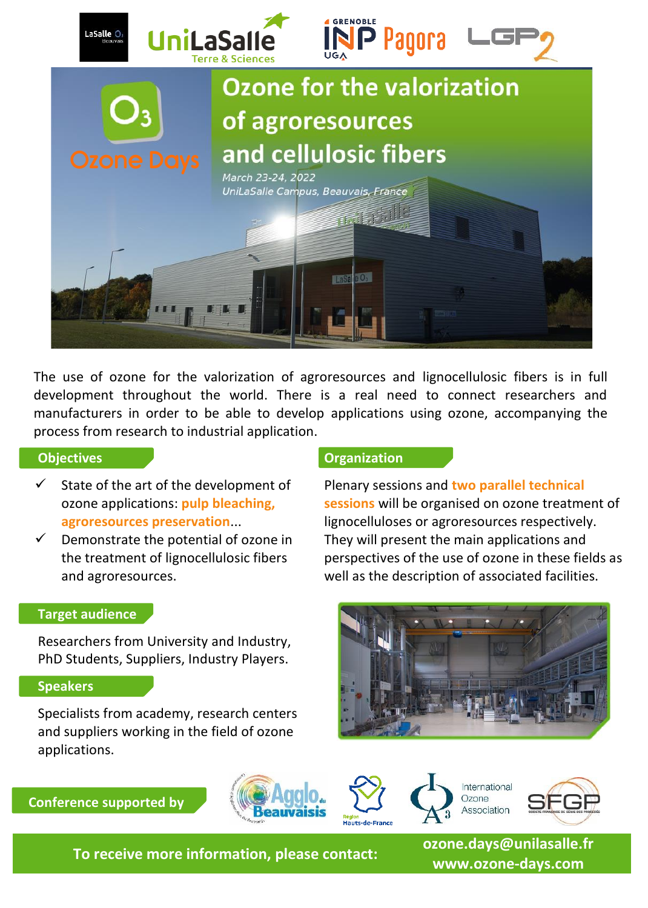

The use of ozone for the valorization of agroresources and lignocellulosic fibers is in full development throughout the world. There is a real need to connect researchers and manufacturers in order to be able to develop applications using ozone, accompanying the process from research to industrial application.

## **Objectives**

- $\checkmark$  State of the art of the development of ozone applications: **pulp bleaching, agroresources preservation**...
- Demonstrate the potential of ozone in the treatment of lignocellulosic fibers and agroresources.

## **Organization**

Plenary sessions and **two parallel technical sessions** will be organised on ozone treatment of lignocelluloses or agroresources respectively. They will present the main applications and perspectives of the use of ozone in these fields as well as the description of associated facilities.

### **Target audience**

Researchers from University and Industry, PhD Students, Suppliers, Industry Players.

## **Speakers**

Specialists from academy, research centers and suppliers working in the field of ozone applications.

**Conference supported by**







SFG

**To receive more information, please contact:**

**ozone.days@unilasalle.fr www.ozone-days.com**